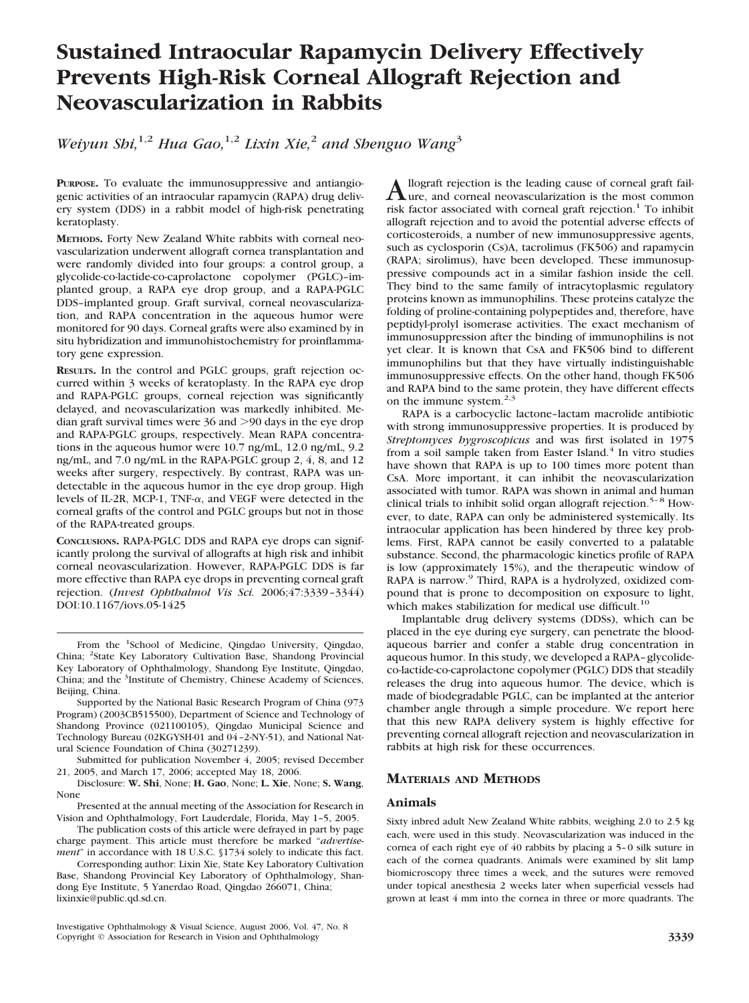# **Sustained Intraocular Rapamycin Delivery Effectively Prevents High-Risk Corneal Allograft Rejection and Neovascularization in Rabbits**

*Weiyun Shi,*1,2 *Hua Gao,*1,2 *Lixin Xie,*<sup>2</sup> *and Shenguo Wang*<sup>3</sup>

**PURPOSE.** To evaluate the immunosuppressive and antiangiogenic activities of an intraocular rapamycin (RAPA) drug delivery system (DDS) in a rabbit model of high-risk penetrating keratoplasty.

**METHODS.** Forty New Zealand White rabbits with corneal neovascularization underwent allograft cornea transplantation and were randomly divided into four groups: a control group, a glycolide-co-lactide-co-caprolactone copolymer (PGLC)–implanted group, a RAPA eye drop group, and a RAPA-PGLC DDS–implanted group. Graft survival, corneal neovascularization, and RAPA concentration in the aqueous humor were monitored for 90 days. Corneal grafts were also examined by in situ hybridization and immunohistochemistry for proinflammatory gene expression.

**RESULTS.** In the control and PGLC groups, graft rejection occurred within 3 weeks of keratoplasty. In the RAPA eye drop and RAPA-PGLC groups, corneal rejection was significantly delayed, and neovascularization was markedly inhibited. Median graft survival times were  $36$  and  $>90$  days in the eye drop and RAPA-PGLC groups, respectively. Mean RAPA concentrations in the aqueous humor were 10.7 ng/mL, 12.0 ng/mL, 9.2 ng/mL, and 7.0 ng/mL in the RAPA-PGLC group 2, 4, 8, and 12 weeks after surgery, respectively. By contrast, RAPA was undetectable in the aqueous humor in the eye drop group. High levels of IL-2R, MCP-1, TNF- $\alpha$ , and VEGF were detected in the corneal grafts of the control and PGLC groups but not in those of the RAPA-treated groups.

**CONCLUSIONS.** RAPA-PGLC DDS and RAPA eye drops can significantly prolong the survival of allografts at high risk and inhibit corneal neovascularization. However, RAPA-PGLC DDS is far more effective than RAPA eye drops in preventing corneal graft rejection. (*Invest Ophthalmol Vis Sci.* 2006;47:3339–3344) DOI:10.1167/iovs.05-1425

Supported by the National Basic Research Program of China (973 Program) (2003CB515500), Department of Science and Technology of Shandong Province (021100105), Qingdao Municipal Science and Technology Bureau (02KGYSH-01 and 04–2-NY-51), and National Natural Science Foundation of China (30271239).

Submitted for publication November 4, 2005; revised December 21, 2005, and March 17, 2006; accepted May 18, 2006.

Disclosure: **W. Shi**, None; **H. Gao**, None; **L. Xie**, None; **S. Wang**, None

Presented at the annual meeting of the Association for Research in Vision and Ophthalmology, Fort Lauderdale, Florida, May 1–5, 2005.

The publication costs of this article were defrayed in part by page charge payment. This article must therefore be marked "*advertisement*" in accordance with 18 U.S.C. §1734 solely to indicate this fact.

Corresponding author: Lixin Xie, State Key Laboratory Cultivation Base, Shandong Provincial Key Laboratory of Ophthalmology, Shandong Eye Institute, 5 Yanerdao Road, Qingdao 266071, China; lixinxie@public.qd.sd.cn.

Investigative Ophthalmology & Visual Science, August 2006, Vol. 47, No. 8 Copyright © Association for Research in Vision and Ophthalmology **3339**

A llograft rejection is the leading cause of corneal graft fail-<br>
ure, and corneal neovascularization is the most common<br>
with factor are saided with a small and minimize  $\frac{1}{n}$ . The inhibit risk factor associated with corneal graft rejection.<sup>1</sup> To inhibit allograft rejection and to avoid the potential adverse effects of corticosteroids, a number of new immunosuppressive agents, such as cyclosporin (Cs)A, tacrolimus (FK506) and rapamycin (RAPA; sirolimus), have been developed. These immunosuppressive compounds act in a similar fashion inside the cell. They bind to the same family of intracytoplasmic regulatory proteins known as immunophilins. These proteins catalyze the folding of proline-containing polypeptides and, therefore, have peptidyl-prolyl isomerase activities. The exact mechanism of immunosuppression after the binding of immunophilins is not yet clear. It is known that CsA and FK506 bind to different immunophilins but that they have virtually indistinguishable immunosuppressive effects. On the other hand, though FK506 and RAPA bind to the same protein, they have different effects on the immune system.<sup>2,3</sup>

RAPA is a carbocyclic lactone–lactam macrolide antibiotic with strong immunosuppressive properties. It is produced by *Streptomyces hygroscopicus* and was first isolated in 1975 from a soil sample taken from Easter Island. $4$  In vitro studies have shown that RAPA is up to 100 times more potent than CsA. More important, it can inhibit the neovascularization associated with tumor. RAPA was shown in animal and human clinical trials to inhibit solid organ allograft rejection.<sup>5–8</sup> However, to date, RAPA can only be administered systemically. Its intraocular application has been hindered by three key problems. First, RAPA cannot be easily converted to a palatable substance. Second, the pharmacologic kinetics profile of RAPA is low (approximately 15%), and the therapeutic window of RAPA is narrow.<sup>9</sup> Third, RAPA is a hydrolyzed, oxidized compound that is prone to decomposition on exposure to light, which makes stabilization for medical use difficult.<sup>10</sup>

Implantable drug delivery systems (DDSs), which can be placed in the eye during eye surgery, can penetrate the bloodaqueous barrier and confer a stable drug concentration in aqueous humor. In this study, we developed a RAPA–glycolideco-lactide-co-caprolactone copolymer (PGLC) DDS that steadily releases the drug into aqueous humor. The device, which is made of biodegradable PGLC, can be implanted at the anterior chamber angle through a simple procedure. We report here that this new RAPA delivery system is highly effective for preventing corneal allograft rejection and neovascularization in rabbits at high risk for these occurrences.

## **MATERIALS AND METHODS**

## **Animals**

Sixty inbred adult New Zealand White rabbits, weighing 2.0 to 2.5 kg each, were used in this study. Neovascularization was induced in the cornea of each right eye of 40 rabbits by placing a 5–0 silk suture in each of the cornea quadrants. Animals were examined by slit lamp biomicroscopy three times a week, and the sutures were removed under topical anesthesia 2 weeks later when superficial vessels had grown at least 4 mm into the cornea in three or more quadrants. The

From the <sup>1</sup>School of Medicine, Qingdao University, Qingdao, China; <sup>2</sup>State Key Laboratory Cultivation Base, Shandong Provincial Key Laboratory of Ophthalmology, Shandong Eye Institute, Qingdao, China; and the <sup>3</sup>Institute of Chemistry, Chinese Academy of Sciences, Beijing, China.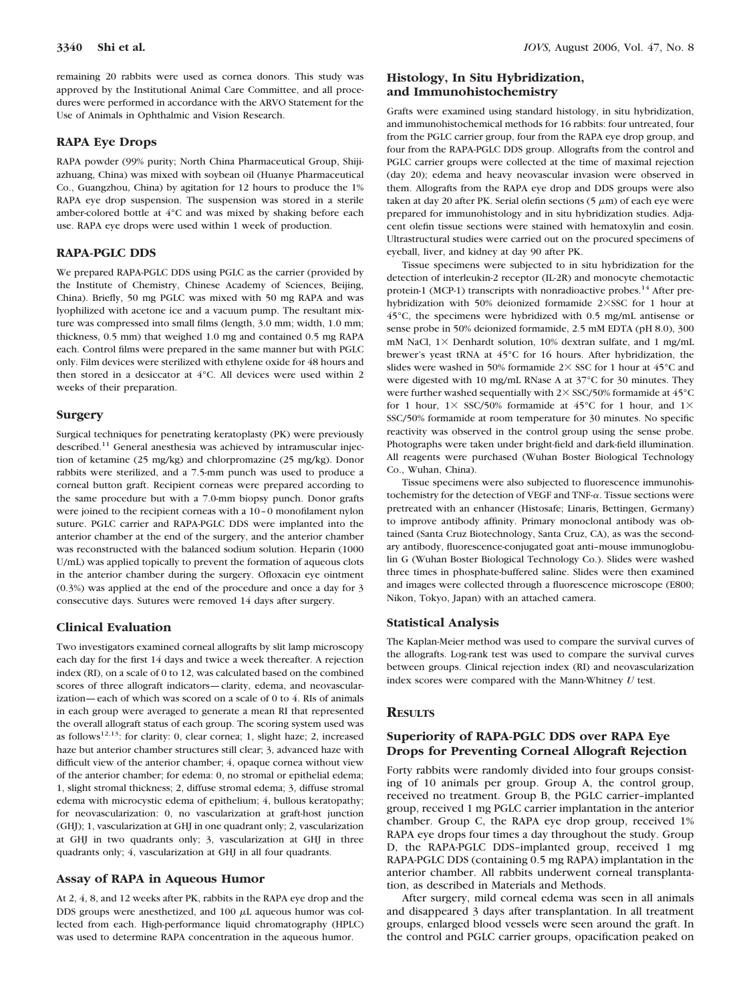remaining 20 rabbits were used as cornea donors. This study was approved by the Institutional Animal Care Committee, and all procedures were performed in accordance with the ARVO Statement for the

#### **RAPA Eye Drops**

RAPA powder (99% purity; North China Pharmaceutical Group, Shijiazhuang, China) was mixed with soybean oil (Huanye Pharmaceutical Co., Guangzhou, China) by agitation for 12 hours to produce the 1% RAPA eye drop suspension. The suspension was stored in a sterile amber-colored bottle at 4°C and was mixed by shaking before each use. RAPA eye drops were used within 1 week of production.

Use of Animals in Ophthalmic and Vision Research.

## **RAPA-PGLC DDS**

We prepared RAPA-PGLC DDS using PGLC as the carrier (provided by the Institute of Chemistry, Chinese Academy of Sciences, Beijing, China). Briefly, 50 mg PGLC was mixed with 50 mg RAPA and was lyophilized with acetone ice and a vacuum pump. The resultant mixture was compressed into small films (length, 3.0 mm; width, 1.0 mm; thickness, 0.5 mm) that weighed 1.0 mg and contained 0.5 mg RAPA each. Control films were prepared in the same manner but with PGLC only. Film devices were sterilized with ethylene oxide for 48 hours and then stored in a desiccator at 4°C. All devices were used within 2 weeks of their preparation.

#### **Surgery**

Surgical techniques for penetrating keratoplasty (PK) were previously described.<sup>11</sup> General anesthesia was achieved by intramuscular injection of ketamine (25 mg/kg) and chlorpromazine (25 mg/kg). Donor rabbits were sterilized, and a 7.5-mm punch was used to produce a corneal button graft. Recipient corneas were prepared according to the same procedure but with a 7.0-mm biopsy punch. Donor grafts were joined to the recipient corneas with a 10–0 monofilament nylon suture. PGLC carrier and RAPA-PGLC DDS were implanted into the anterior chamber at the end of the surgery, and the anterior chamber was reconstructed with the balanced sodium solution. Heparin (1000 U/mL) was applied topically to prevent the formation of aqueous clots in the anterior chamber during the surgery. Ofloxacin eye ointment (0.3%) was applied at the end of the procedure and once a day for 3 consecutive days. Sutures were removed 14 days after surgery.

#### **Clinical Evaluation**

Two investigators examined corneal allografts by slit lamp microscopy each day for the first 14 days and twice a week thereafter. A rejection index (RI), on a scale of 0 to 12, was calculated based on the combined scores of three allograft indicators—clarity, edema, and neovascularization—each of which was scored on a scale of 0 to 4. RIs of animals in each group were averaged to generate a mean RI that represented the overall allograft status of each group. The scoring system used was as follows<sup>12,13</sup>: for clarity: 0, clear cornea; 1, slight haze; 2, increased haze but anterior chamber structures still clear; 3, advanced haze with difficult view of the anterior chamber; 4, opaque cornea without view of the anterior chamber; for edema: 0, no stromal or epithelial edema; 1, slight stromal thickness; 2, diffuse stromal edema; 3, diffuse stromal edema with microcystic edema of epithelium; 4, bullous keratopathy; for neovascularization: 0, no vascularization at graft-host junction (GHJ); 1, vascularization at GHJ in one quadrant only; 2, vascularization at GHJ in two quadrants only; 3, vascularization at GHJ in three quadrants only; 4, vascularization at GHJ in all four quadrants.

#### **Assay of RAPA in Aqueous Humor**

At 2, 4, 8, and 12 weeks after PK, rabbits in the RAPA eye drop and the DDS groups were anesthetized, and  $100 \mu$ L aqueous humor was collected from each. High-performance liquid chromatography (HPLC) was used to determine RAPA concentration in the aqueous humor.

## **Histology, In Situ Hybridization, and Immunohistochemistry**

Grafts were examined using standard histology, in situ hybridization, and immunohistochemical methods for 16 rabbits: four untreated, four from the PGLC carrier group, four from the RAPA eye drop group, and four from the RAPA-PGLC DDS group. Allografts from the control and PGLC carrier groups were collected at the time of maximal rejection (day 20); edema and heavy neovascular invasion were observed in them. Allografts from the RAPA eye drop and DDS groups were also taken at day 20 after PK. Serial olefin sections  $(5 \mu m)$  of each eye were prepared for immunohistology and in situ hybridization studies. Adjacent olefin tissue sections were stained with hematoxylin and eosin. Ultrastructural studies were carried out on the procured specimens of eyeball, liver, and kidney at day 90 after PK.

Tissue specimens were subjected to in situ hybridization for the detection of interleukin-2 receptor (IL-2R) and monocyte chemotactic protein-1 (MCP-1) transcripts with nonradioactive probes.<sup>14</sup> After prehybridization with 50% deionized formamide  $2\times$ SSC for 1 hour at 45°C, the specimens were hybridized with 0.5 mg/mL antisense or sense probe in 50% deionized formamide, 2.5 mM EDTA (pH 8.0), 300 mM NaCl,  $1\times$  Denhardt solution, 10% dextran sulfate, and 1 mg/mL brewer's yeast tRNA at 45°C for 16 hours. After hybridization, the slides were washed in 50% formamide  $2 \times$  SSC for 1 hour at 45°C and were digested with 10 mg/mL RNase A at 37°C for 30 minutes. They were further washed sequentially with  $2 \times$  SSC/50% formamide at 45 $^{\circ}$ C for 1 hour,  $1 \times$  SSC/50% formamide at 45°C for 1 hour, and  $1 \times$ SSC/50% formamide at room temperature for 30 minutes. No specific reactivity was observed in the control group using the sense probe. Photographs were taken under bright-field and dark-field illumination. All reagents were purchased (Wuhan Boster Biological Technology Co., Wuhan, China).

Tissue specimens were also subjected to fluorescence immunohistochemistry for the detection of VEGF and TNF- $\alpha$ . Tissue sections were pretreated with an enhancer (Histosafe; Linaris, Bettingen, Germany) to improve antibody affinity. Primary monoclonal antibody was obtained (Santa Cruz Biotechnology, Santa Cruz, CA), as was the secondary antibody, fluorescence-conjugated goat anti–mouse immunoglobulin G (Wuhan Boster Biological Technology Co.). Slides were washed three times in phosphate-buffered saline. Slides were then examined and images were collected through a fluorescence microscope (E800; Nikon, Tokyo, Japan) with an attached camera.

#### **Statistical Analysis**

The Kaplan-Meier method was used to compare the survival curves of the allografts. Log-rank test was used to compare the survival curves between groups. Clinical rejection index (RI) and neovascularization index scores were compared with the Mann-Whitney *U* test.

## **RESULTS**

## **Superiority of RAPA-PGLC DDS over RAPA Eye Drops for Preventing Corneal Allograft Rejection**

Forty rabbits were randomly divided into four groups consisting of 10 animals per group. Group A, the control group, received no treatment. Group B, the PGLC carrier–implanted group, received 1 mg PGLC carrier implantation in the anterior chamber. Group C, the RAPA eye drop group, received 1% RAPA eye drops four times a day throughout the study. Group D, the RAPA-PGLC DDS–implanted group, received 1 mg RAPA-PGLC DDS (containing 0.5 mg RAPA) implantation in the anterior chamber. All rabbits underwent corneal transplantation, as described in Materials and Methods.

After surgery, mild corneal edema was seen in all animals and disappeared 3 days after transplantation. In all treatment groups, enlarged blood vessels were seen around the graft. In the control and PGLC carrier groups, opacification peaked on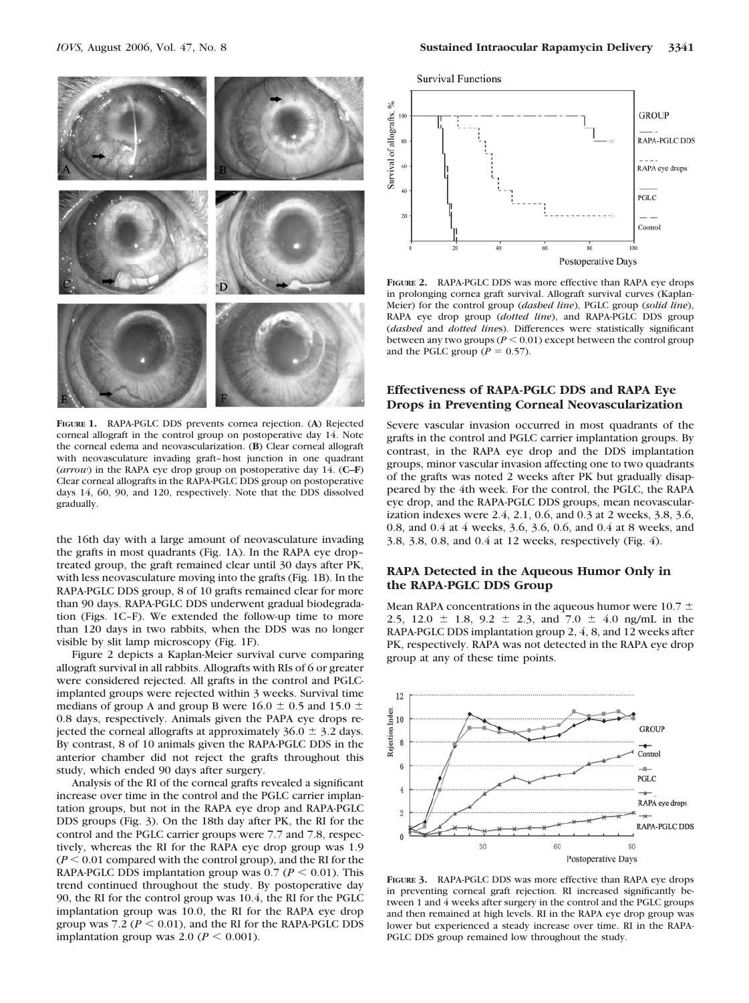

**FIGURE 1.** RAPA-PGLC DDS prevents cornea rejection. (**A**) Rejected corneal allograft in the control group on postoperative day 14. Note the corneal edema and neovascularization. (**B**) Clear corneal allograft with neovasculature invading graft–host junction in one quadrant (*arrow*) in the RAPA eye drop group on postoperative day 14. (**C–F**) Clear corneal allografts in the RAPA-PGLC DDS group on postoperative days 14, 60, 90, and 120, respectively. Note that the DDS dissolved gradually.

the 16th day with a large amount of neovasculature invading the grafts in most quadrants (Fig. 1A). In the RAPA eye drop– treated group, the graft remained clear until 30 days after PK, with less neovasculature moving into the grafts (Fig. 1B). In the RAPA-PGLC DDS group, 8 of 10 grafts remained clear for more than 90 days. RAPA-PGLC DDS underwent gradual biodegradation (Figs. 1C–F). We extended the follow-up time to more than 120 days in two rabbits, when the DDS was no longer visible by slit lamp microscopy (Fig. 1F).

Figure 2 depicts a Kaplan-Meier survival curve comparing allograft survival in all rabbits. Allografts with RIs of 6 or greater were considered rejected. All grafts in the control and PGLCimplanted groups were rejected within 3 weeks. Survival time medians of group A and group B were 16.0  $\pm$  0.5 and 15.0  $\pm$ 0.8 days, respectively. Animals given the PAPA eye drops rejected the corneal allografts at approximately  $36.0 \pm 3.2$  days. By contrast, 8 of 10 animals given the RAPA-PGLC DDS in the anterior chamber did not reject the grafts throughout this study, which ended 90 days after surgery.

Analysis of the RI of the corneal grafts revealed a significant increase over time in the control and the PGLC carrier implantation groups, but not in the RAPA eye drop and RAPA-PGLC DDS groups (Fig. 3). On the 18th day after PK, the RI for the control and the PGLC carrier groups were 7.7 and 7.8, respectively, whereas the RI for the RAPA eye drop group was 1.9  $(P \leq 0.01$  compared with the control group), and the RI for the RAPA-PGLC DDS implantation group was  $0.7 (P \le 0.01)$ . This trend continued throughout the study. By postoperative day 90, the RI for the control group was 10.4, the RI for the PGLC implantation group was 10.0, the RI for the RAPA eye drop group was  $7.2 (P \le 0.01)$ , and the RI for the RAPA-PGLC DDS implantation group was 2.0 ( $P \le 0.001$ ).



**FIGURE 2.** RAPA-PGLC DDS was more effective than RAPA eye drops in prolonging cornea graft survival. Allograft survival curves (Kaplan-Meier) for the control group (*dashed line*), PGLC group (*solid line*), RAPA eye drop group (*dotted line*), and RAPA-PGLC DDS group (*dashed* and *dotted line*s). Differences were statistically significant between any two groups ( $P \le 0.01$ ) except between the control group and the PGLC group ( $P = 0.57$ ).

## **Effectiveness of RAPA-PGLC DDS and RAPA Eye Drops in Preventing Corneal Neovascularization**

Severe vascular invasion occurred in most quadrants of the grafts in the control and PGLC carrier implantation groups. By contrast, in the RAPA eye drop and the DDS implantation groups, minor vascular invasion affecting one to two quadrants of the grafts was noted 2 weeks after PK but gradually disappeared by the 4th week. For the control, the PGLC, the RAPA eye drop, and the RAPA-PGLC DDS groups, mean neovascularization indexes were 2.4, 2.1, 0.6, and 0.3 at 2 weeks, 3.8, 3.6, 0.8, and 0.4 at 4 weeks, 3.6, 3.6, 0.6, and 0.4 at 8 weeks, and 3.8, 3.8, 0.8, and 0.4 at 12 weeks, respectively (Fig. 4).

## **RAPA Detected in the Aqueous Humor Only in the RAPA-PGLC DDS Group**

Mean RAPA concentrations in the aqueous humor were 10.7  $\pm$ 2.5, 12.0  $\pm$  1.8, 9.2  $\pm$  2.3, and 7.0  $\pm$  4.0 ng/mL in the RAPA-PGLC DDS implantation group 2, 4, 8, and 12 weeks after PK, respectively. RAPA was not detected in the RAPA eye drop group at any of these time points.



**FIGURE 3.** RAPA-PGLC DDS was more effective than RAPA eye drops in preventing corneal graft rejection. RI increased significantly between 1 and 4 weeks after surgery in the control and the PGLC groups and then remained at high levels. RI in the RAPA eye drop group was lower but experienced a steady increase over time. RI in the RAPA-PGLC DDS group remained low throughout the study.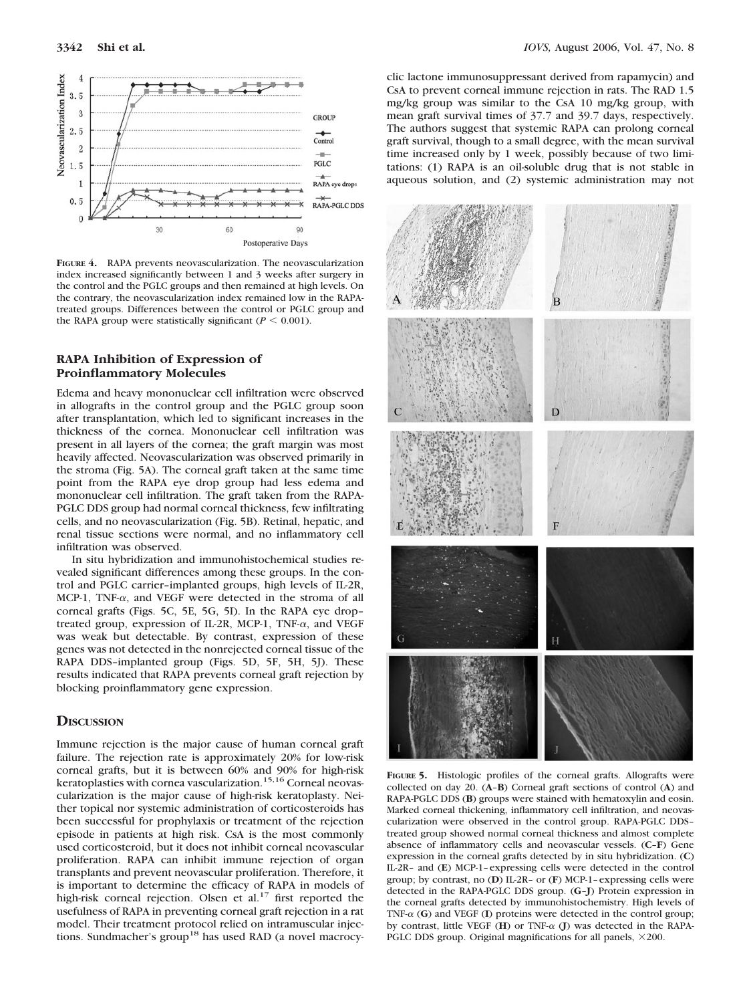

**FIGURE 4.** RAPA prevents neovascularization. The neovascularization index increased significantly between 1 and 3 weeks after surgery in the control and the PGLC groups and then remained at high levels. On the contrary, the neovascularization index remained low in the RAPAtreated groups. Differences between the control or PGLC group and the RAPA group were statistically significant ( $P < 0.001$ ).

#### **RAPA Inhibition of Expression of Proinflammatory Molecules**

Edema and heavy mononuclear cell infiltration were observed in allografts in the control group and the PGLC group soon after transplantation, which led to significant increases in the thickness of the cornea. Mononuclear cell infiltration was present in all layers of the cornea; the graft margin was most heavily affected. Neovascularization was observed primarily in the stroma (Fig. 5A). The corneal graft taken at the same time point from the RAPA eye drop group had less edema and mononuclear cell infiltration. The graft taken from the RAPA-PGLC DDS group had normal corneal thickness, few infiltrating cells, and no neovascularization (Fig. 5B). Retinal, hepatic, and renal tissue sections were normal, and no inflammatory cell infiltration was observed.

In situ hybridization and immunohistochemical studies revealed significant differences among these groups. In the control and PGLC carrier–implanted groups, high levels of IL-2R, MCP-1, TNF- $\alpha$ , and VEGF were detected in the stroma of all corneal grafts (Figs. 5C, 5E, 5G, 5I). In the RAPA eye drop– treated group, expression of IL-2R, MCP-1, TNF- $\alpha$ , and VEGF was weak but detectable. By contrast, expression of these genes was not detected in the nonrejected corneal tissue of the RAPA DDS–implanted group (Figs. 5D, 5F, 5H, 5J). These results indicated that RAPA prevents corneal graft rejection by blocking proinflammatory gene expression.

## **DISCUSSION**

Immune rejection is the major cause of human corneal graft failure. The rejection rate is approximately 20% for low-risk corneal grafts, but it is between 60% and 90% for high-risk keratoplasties with cornea vascularization.<sup>15,16</sup> Corneal neovascularization is the major cause of high-risk keratoplasty. Neither topical nor systemic administration of corticosteroids has been successful for prophylaxis or treatment of the rejection episode in patients at high risk. CsA is the most commonly used corticosteroid, but it does not inhibit corneal neovascular proliferation. RAPA can inhibit immune rejection of organ transplants and prevent neovascular proliferation. Therefore, it is important to determine the efficacy of RAPA in models of high-risk corneal rejection. Olsen et al.<sup>17</sup> first reported the usefulness of RAPA in preventing corneal graft rejection in a rat model. Their treatment protocol relied on intramuscular injections. Sundmacher's group<sup>18</sup> has used RAD (a novel macrocyclic lactone immunosuppressant derived from rapamycin) and CsA to prevent corneal immune rejection in rats. The RAD 1.5 mg/kg group was similar to the CsA 10 mg/kg group, with mean graft survival times of 37.7 and 39.7 days, respectively. The authors suggest that systemic RAPA can prolong corneal graft survival, though to a small degree, with the mean survival time increased only by 1 week, possibly because of two limitations: (1) RAPA is an oil-soluble drug that is not stable in aqueous solution, and (2) systemic administration may not



**FIGURE 5.** Histologic profiles of the corneal grafts. Allografts were collected on day 20. (**A**–**B**) Corneal graft sections of control (**A**) and RAPA-PGLC DDS (**B**) groups were stained with hematoxylin and eosin. Marked corneal thickening, inflammatory cell infiltration, and neovascularization were observed in the control group. RAPA-PGLC DDS– treated group showed normal corneal thickness and almost complete absence of inflammatory cells and neovascular vessels. (**C**–**F**) Gene expression in the corneal grafts detected by in situ hybridization. (**C**) IL-2R– and (**E**) MCP-1–expressing cells were detected in the control group; by contrast, no (**D**) IL-2R– or (**F**) MCP-1–expressing cells were detected in the RAPA-PGLC DDS group. (**G**–**J**) Protein expression in the corneal grafts detected by immunohistochemistry. High levels of TNF- $\alpha$  (G) and VEGF (I) proteins were detected in the control group; by contrast, little VEGF (**H**) or TNF- $\alpha$  (**J**) was detected in the RAPA-PGLC DDS group. Original magnifications for all panels,  $\times$ 200.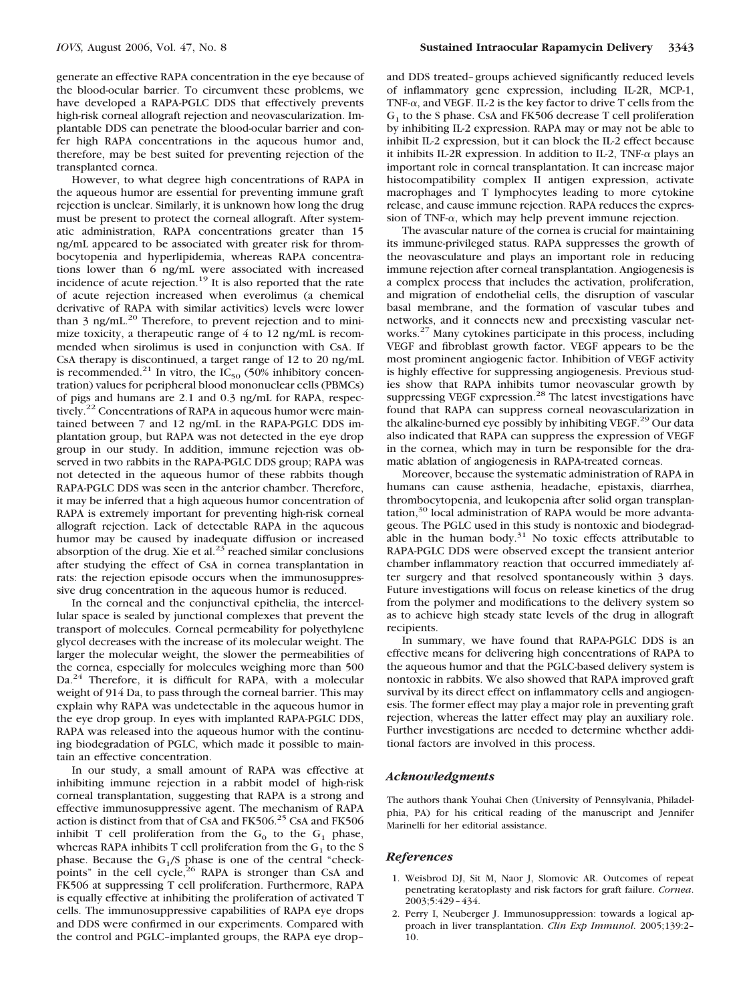generate an effective RAPA concentration in the eye because of the blood-ocular barrier. To circumvent these problems, we have developed a RAPA-PGLC DDS that effectively prevents high-risk corneal allograft rejection and neovascularization. Implantable DDS can penetrate the blood-ocular barrier and confer high RAPA concentrations in the aqueous humor and, therefore, may be best suited for preventing rejection of the transplanted cornea.

However, to what degree high concentrations of RAPA in the aqueous humor are essential for preventing immune graft rejection is unclear. Similarly, it is unknown how long the drug must be present to protect the corneal allograft. After systematic administration, RAPA concentrations greater than 15 ng/mL appeared to be associated with greater risk for thrombocytopenia and hyperlipidemia, whereas RAPA concentrations lower than 6 ng/mL were associated with increased incidence of acute rejection.19 It is also reported that the rate of acute rejection increased when everolimus (a chemical derivative of RAPA with similar activities) levels were lower than 3 ng/mL.<sup>20</sup> Therefore, to prevent rejection and to minimize toxicity, a therapeutic range of 4 to 12 ng/mL is recommended when sirolimus is used in conjunction with CsA. If CsA therapy is discontinued, a target range of 12 to 20 ng/mL is recommended.<sup>21</sup> In vitro, the  $IC_{50}$  (50% inhibitory concentration) values for peripheral blood mononuclear cells (PBMCs) of pigs and humans are 2.1 and 0.3 ng/mL for RAPA, respectively.<sup>22</sup> Concentrations of RAPA in aqueous humor were maintained between 7 and 12 ng/mL in the RAPA-PGLC DDS implantation group, but RAPA was not detected in the eye drop group in our study. In addition, immune rejection was observed in two rabbits in the RAPA-PGLC DDS group; RAPA was not detected in the aqueous humor of these rabbits though RAPA-PGLC DDS was seen in the anterior chamber. Therefore, it may be inferred that a high aqueous humor concentration of RAPA is extremely important for preventing high-risk corneal allograft rejection. Lack of detectable RAPA in the aqueous humor may be caused by inadequate diffusion or increased absorption of the drug. Xie et al. $^{23}$  reached similar conclusions after studying the effect of CsA in cornea transplantation in rats: the rejection episode occurs when the immunosuppressive drug concentration in the aqueous humor is reduced.

In the corneal and the conjunctival epithelia, the intercellular space is sealed by junctional complexes that prevent the transport of molecules. Corneal permeability for polyethylene glycol decreases with the increase of its molecular weight. The larger the molecular weight, the slower the permeabilities of the cornea, especially for molecules weighing more than 500 Da.<sup>24</sup> Therefore, it is difficult for RAPA, with a molecular weight of 914 Da, to pass through the corneal barrier. This may explain why RAPA was undetectable in the aqueous humor in the eye drop group. In eyes with implanted RAPA-PGLC DDS, RAPA was released into the aqueous humor with the continuing biodegradation of PGLC, which made it possible to maintain an effective concentration.

In our study, a small amount of RAPA was effective at inhibiting immune rejection in a rabbit model of high-risk corneal transplantation, suggesting that RAPA is a strong and effective immunosuppressive agent. The mechanism of RAPA action is distinct from that of CsA and FK506.<sup>25</sup> CsA and FK506 inhibit T cell proliferation from the  $G_0$  to the  $G_1$  phase, whereas RAPA inhibits T cell proliferation from the  $G_1$  to the S phase. Because the  $G_1/S$  phase is one of the central "checkpoints" in the cell cycle, $26$  RAPA is stronger than CsA and FK506 at suppressing T cell proliferation. Furthermore, RAPA is equally effective at inhibiting the proliferation of activated T cells. The immunosuppressive capabilities of RAPA eye drops and DDS were confirmed in our experiments. Compared with the control and PGLC–implanted groups, the RAPA eye drop–

and DDS treated–groups achieved significantly reduced levels of inflammatory gene expression, including IL-2R, MCP-1, TNF- $\alpha$ , and VEGF. IL-2 is the key factor to drive T cells from the  $G<sub>1</sub>$  to the S phase. CsA and FK506 decrease T cell proliferation by inhibiting IL-2 expression. RAPA may or may not be able to inhibit IL-2 expression, but it can block the IL-2 effect because it inhibits IL-2R expression. In addition to IL-2, TNF- $\alpha$  plays an important role in corneal transplantation. It can increase major histocompatibility complex II antigen expression, activate macrophages and T lymphocytes leading to more cytokine release, and cause immune rejection. RAPA reduces the expression of TNF- $\alpha$ , which may help prevent immune rejection.

The avascular nature of the cornea is crucial for maintaining its immune-privileged status. RAPA suppresses the growth of the neovasculature and plays an important role in reducing immune rejection after corneal transplantation. Angiogenesis is a complex process that includes the activation, proliferation, and migration of endothelial cells, the disruption of vascular basal membrane, and the formation of vascular tubes and networks, and it connects new and preexisting vascular networks.27 Many cytokines participate in this process, including VEGF and fibroblast growth factor. VEGF appears to be the most prominent angiogenic factor. Inhibition of VEGF activity is highly effective for suppressing angiogenesis. Previous studies show that RAPA inhibits tumor neovascular growth by suppressing VEGF expression.<sup>28</sup> The latest investigations have found that RAPA can suppress corneal neovascularization in the alkaline-burned eye possibly by inhibiting VEGF.<sup>29</sup> Our data also indicated that RAPA can suppress the expression of VEGF in the cornea, which may in turn be responsible for the dramatic ablation of angiogenesis in RAPA-treated corneas.

Moreover, because the systematic administration of RAPA in humans can cause asthenia, headache, epistaxis, diarrhea, thrombocytopenia, and leukopenia after solid organ transplantation,30 local administration of RAPA would be more advantageous. The PGLC used in this study is nontoxic and biodegradable in the human body.<sup>31</sup> No toxic effects attributable to RAPA-PGLC DDS were observed except the transient anterior chamber inflammatory reaction that occurred immediately after surgery and that resolved spontaneously within 3 days. Future investigations will focus on release kinetics of the drug from the polymer and modifications to the delivery system so as to achieve high steady state levels of the drug in allograft recipients.

In summary, we have found that RAPA-PGLC DDS is an effective means for delivering high concentrations of RAPA to the aqueous humor and that the PGLC-based delivery system is nontoxic in rabbits. We also showed that RAPA improved graft survival by its direct effect on inflammatory cells and angiogenesis. The former effect may play a major role in preventing graft rejection, whereas the latter effect may play an auxiliary role. Further investigations are needed to determine whether additional factors are involved in this process.

#### *Acknowledgments*

The authors thank Youhai Chen (University of Pennsylvania, Philadelphia, PA) for his critical reading of the manuscript and Jennifer Marinelli for her editorial assistance.

#### *References*

- 1. Weisbrod DJ, Sit M, Naor J, Slomovic AR. Outcomes of repeat penetrating keratoplasty and risk factors for graft failure. *Cornea*. 2003;5:429–434.
- 2. Perry I, Neuberger J. Immunosuppression: towards a logical approach in liver transplantation. *Clin Exp Immunol*. 2005;139:2– 10.